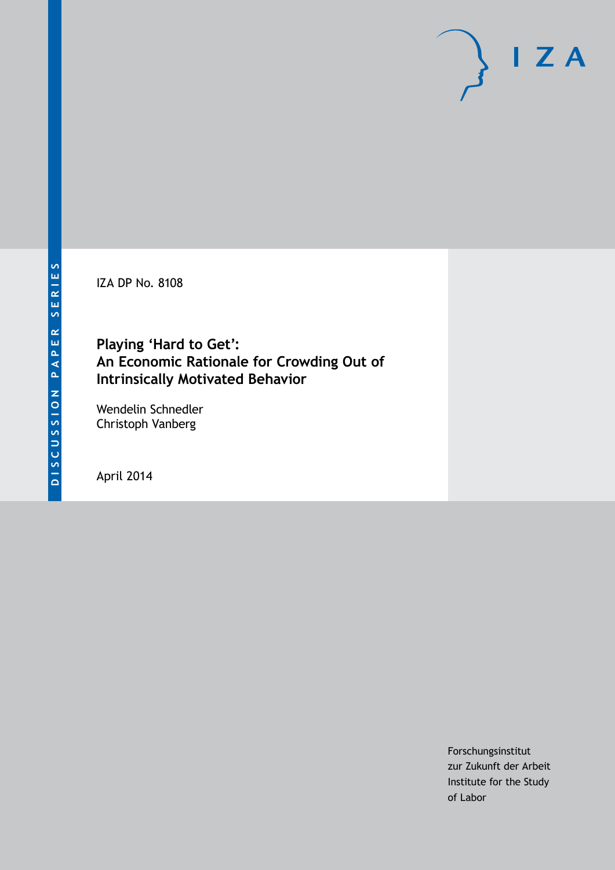IZA DP No. 8108

### **Playing 'Hard to Get': An Economic Rationale for Crowding Out of Intrinsically Motivated Behavior**

Wendelin Schnedler Christoph Vanberg

April 2014

Forschungsinstitut zur Zukunft der Arbeit Institute for the Study of Labor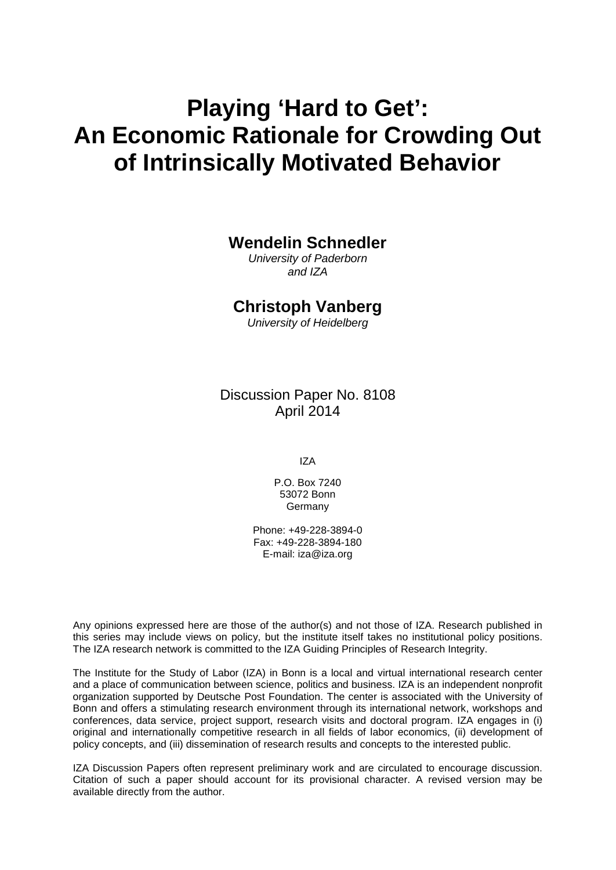# **Playing 'Hard to Get': An Economic Rationale for Crowding Out of Intrinsically Motivated Behavior**

### **Wendelin Schnedler**

*University of Paderborn and IZA*

### **Christoph Vanberg**

*University of Heidelberg*

Discussion Paper No. 8108 April 2014

IZA

P.O. Box 7240 53072 Bonn Germany

Phone: +49-228-3894-0 Fax: +49-228-3894-180 E-mail: [iza@iza.org](mailto:iza@iza.org)

Any opinions expressed here are those of the author(s) and not those of IZA. Research published in this series may include views on policy, but the institute itself takes no institutional policy positions. The IZA research network is committed to the IZA Guiding Principles of Research Integrity.

The Institute for the Study of Labor (IZA) in Bonn is a local and virtual international research center and a place of communication between science, politics and business. IZA is an independent nonprofit organization supported by Deutsche Post Foundation. The center is associated with the University of Bonn and offers a stimulating research environment through its international network, workshops and conferences, data service, project support, research visits and doctoral program. IZA engages in (i) original and internationally competitive research in all fields of labor economics, (ii) development of policy concepts, and (iii) dissemination of research results and concepts to the interested public.

<span id="page-1-0"></span>IZA Discussion Papers often represent preliminary work and are circulated to encourage discussion. Citation of such a paper should account for its provisional character. A revised version may be available directly from the author.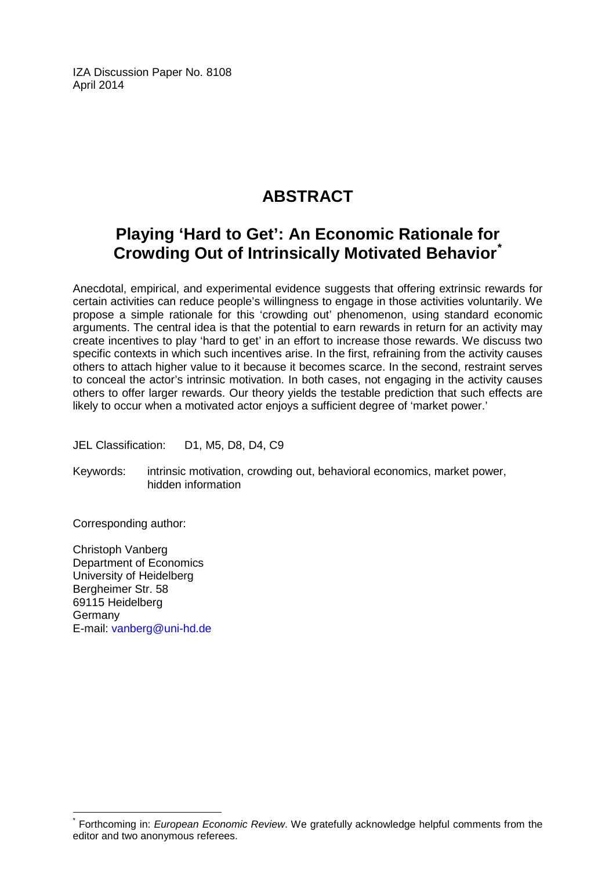IZA Discussion Paper No. 8108 April 2014

# **ABSTRACT**

## **Playing 'Hard to Get': An Economic Rationale for Crowding Out of Intrinsically Motivated Behavior[\\*](#page-1-0)**

Anecdotal, empirical, and experimental evidence suggests that offering extrinsic rewards for certain activities can reduce people's willingness to engage in those activities voluntarily. We propose a simple rationale for this 'crowding out' phenomenon, using standard economic arguments. The central idea is that the potential to earn rewards in return for an activity may create incentives to play 'hard to get' in an effort to increase those rewards. We discuss two specific contexts in which such incentives arise. In the first, refraining from the activity causes others to attach higher value to it because it becomes scarce. In the second, restraint serves to conceal the actor's intrinsic motivation. In both cases, not engaging in the activity causes others to offer larger rewards. Our theory yields the testable prediction that such effects are likely to occur when a motivated actor enjoys a sufficient degree of 'market power.'

JEL Classification: D1, M5, D8, D4, C9

Keywords: intrinsic motivation, crowding out, behavioral economics, market power, hidden information

Corresponding author:

Christoph Vanberg Department of Economics University of Heidelberg Bergheimer Str. 58 69115 Heidelberg Germany E-mail: [vanberg@uni-hd.de](mailto:vanberg@uni-hd.de)

Forthcoming in: *European Economic Review*. We gratefully acknowledge helpful comments from the editor and two anonymous referees.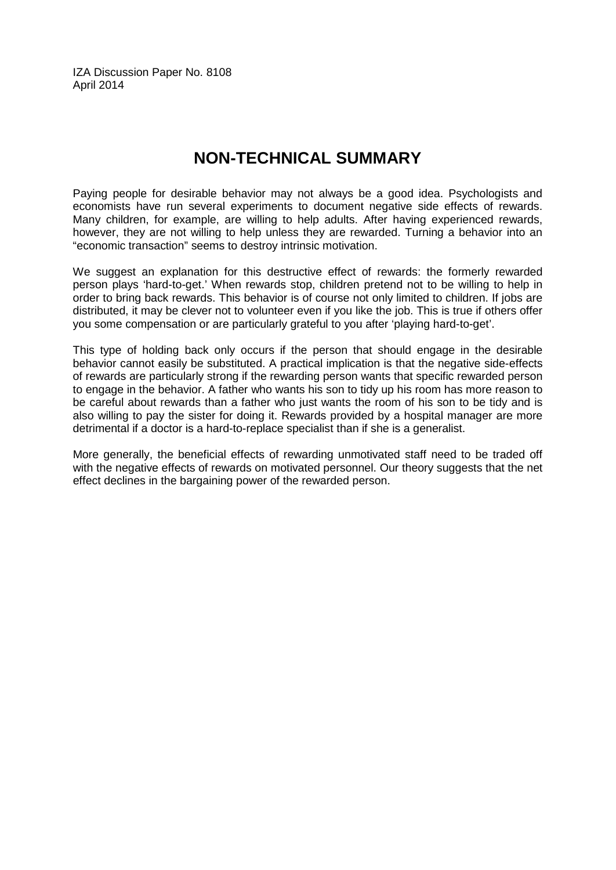IZA Discussion Paper No. 8108 April 2014

# **NON-TECHNICAL SUMMARY**

Paying people for desirable behavior may not always be a good idea. Psychologists and economists have run several experiments to document negative side effects of rewards. Many children, for example, are willing to help adults. After having experienced rewards, however, they are not willing to help unless they are rewarded. Turning a behavior into an "economic transaction" seems to destroy intrinsic motivation.

We suggest an explanation for this destructive effect of rewards: the formerly rewarded person plays 'hard-to-get.' When rewards stop, children pretend not to be willing to help in order to bring back rewards. This behavior is of course not only limited to children. If jobs are distributed, it may be clever not to volunteer even if you like the job. This is true if others offer you some compensation or are particularly grateful to you after 'playing hard-to-get'.

This type of holding back only occurs if the person that should engage in the desirable behavior cannot easily be substituted. A practical implication is that the negative side-effects of rewards are particularly strong if the rewarding person wants that specific rewarded person to engage in the behavior. A father who wants his son to tidy up his room has more reason to be careful about rewards than a father who just wants the room of his son to be tidy and is also willing to pay the sister for doing it. Rewards provided by a hospital manager are more detrimental if a doctor is a hard-to-replace specialist than if she is a generalist.

More generally, the beneficial effects of rewarding unmotivated staff need to be traded off with the negative effects of rewards on motivated personnel. Our theory suggests that the net effect declines in the bargaining power of the rewarded person.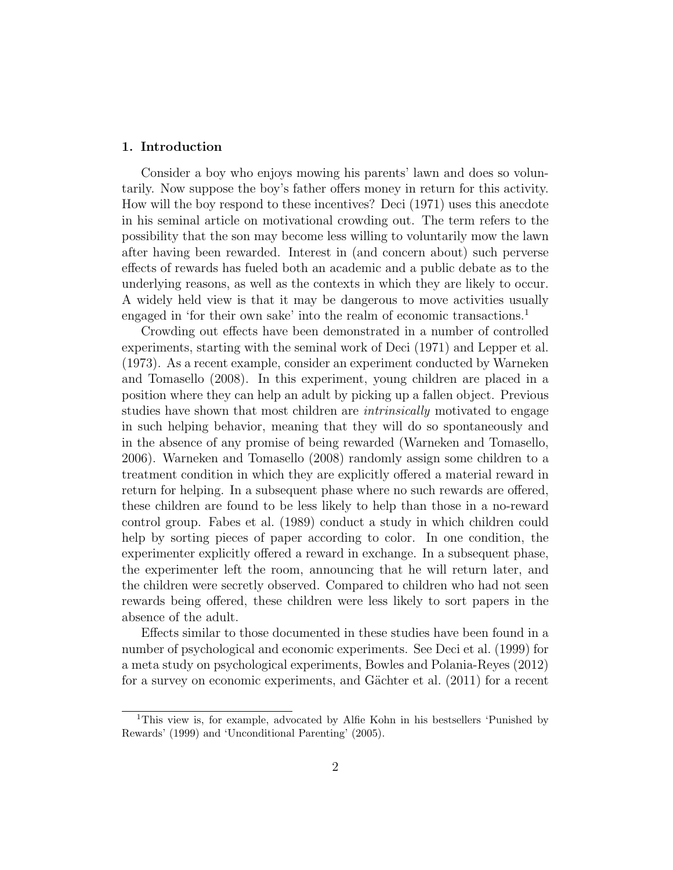#### 1. Introduction

Consider a boy who enjoys mowing his parents' lawn and does so voluntarily. Now suppose the boy's father offers money in return for this activity. How will the boy respond to these incentives? Deci (1971) uses this anecdote in his seminal article on motivational crowding out. The term refers to the possibility that the son may become less willing to voluntarily mow the lawn after having been rewarded. Interest in (and concern about) such perverse effects of rewards has fueled both an academic and a public debate as to the underlying reasons, as well as the contexts in which they are likely to occur. A widely held view is that it may be dangerous to move activities usually engaged in 'for their own sake' into the realm of economic transactions.<sup>1</sup>

Crowding out effects have been demonstrated in a number of controlled experiments, starting with the seminal work of Deci (1971) and Lepper et al. (1973). As a recent example, consider an experiment conducted by Warneken and Tomasello (2008). In this experiment, young children are placed in a position where they can help an adult by picking up a fallen object. Previous studies have shown that most children are *intrinsically* motivated to engage in such helping behavior, meaning that they will do so spontaneously and in the absence of any promise of being rewarded (Warneken and Tomasello, 2006). Warneken and Tomasello (2008) randomly assign some children to a treatment condition in which they are explicitly offered a material reward in return for helping. In a subsequent phase where no such rewards are offered, these children are found to be less likely to help than those in a no-reward control group. Fabes et al. (1989) conduct a study in which children could help by sorting pieces of paper according to color. In one condition, the experimenter explicitly offered a reward in exchange. In a subsequent phase, the experimenter left the room, announcing that he will return later, and the children were secretly observed. Compared to children who had not seen rewards being offered, these children were less likely to sort papers in the absence of the adult.

Effects similar to those documented in these studies have been found in a number of psychological and economic experiments. See Deci et al. (1999) for a meta study on psychological experiments, Bowles and Polania-Reyes (2012) for a survey on economic experiments, and Gächter et al.  $(2011)$  for a recent

<sup>&</sup>lt;sup>1</sup>This view is, for example, advocated by Alfie Kohn in his bestsellers 'Punished by Rewards' (1999) and 'Unconditional Parenting' (2005).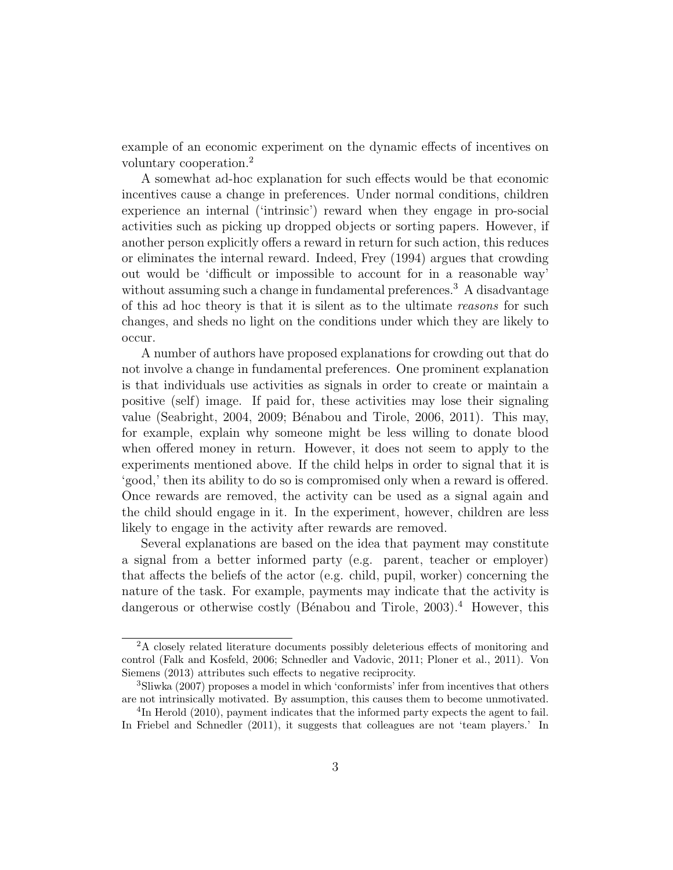example of an economic experiment on the dynamic effects of incentives on voluntary cooperation.<sup>2</sup>

A somewhat ad-hoc explanation for such effects would be that economic incentives cause a change in preferences. Under normal conditions, children experience an internal ('intrinsic') reward when they engage in pro-social activities such as picking up dropped objects or sorting papers. However, if another person explicitly offers a reward in return for such action, this reduces or eliminates the internal reward. Indeed, Frey (1994) argues that crowding out would be 'difficult or impossible to account for in a reasonable way' without assuming such a change in fundamental preferences.<sup>3</sup> A disadvantage of this ad hoc theory is that it is silent as to the ultimate reasons for such changes, and sheds no light on the conditions under which they are likely to occur.

A number of authors have proposed explanations for crowding out that do not involve a change in fundamental preferences. One prominent explanation is that individuals use activities as signals in order to create or maintain a positive (self) image. If paid for, these activities may lose their signaling value (Seabright, 2004, 2009; Bénabou and Tirole, 2006, 2011). This may, for example, explain why someone might be less willing to donate blood when offered money in return. However, it does not seem to apply to the experiments mentioned above. If the child helps in order to signal that it is 'good,' then its ability to do so is compromised only when a reward is offered. Once rewards are removed, the activity can be used as a signal again and the child should engage in it. In the experiment, however, children are less likely to engage in the activity after rewards are removed.

Several explanations are based on the idea that payment may constitute a signal from a better informed party (e.g. parent, teacher or employer) that affects the beliefs of the actor (e.g. child, pupil, worker) concerning the nature of the task. For example, payments may indicate that the activity is dangerous or otherwise costly (Bénabou and Tirole, 2003).<sup>4</sup> However, this

<sup>2</sup>A closely related literature documents possibly deleterious effects of monitoring and control (Falk and Kosfeld, 2006; Schnedler and Vadovic, 2011; Ploner et al., 2011). Von Siemens (2013) attributes such effects to negative reciprocity.

<sup>3</sup>Sliwka (2007) proposes a model in which 'conformists' infer from incentives that others are not intrinsically motivated. By assumption, this causes them to become unmotivated.

<sup>&</sup>lt;sup>4</sup>In Herold (2010), payment indicates that the informed party expects the agent to fail. In Friebel and Schnedler (2011), it suggests that colleagues are not 'team players.' In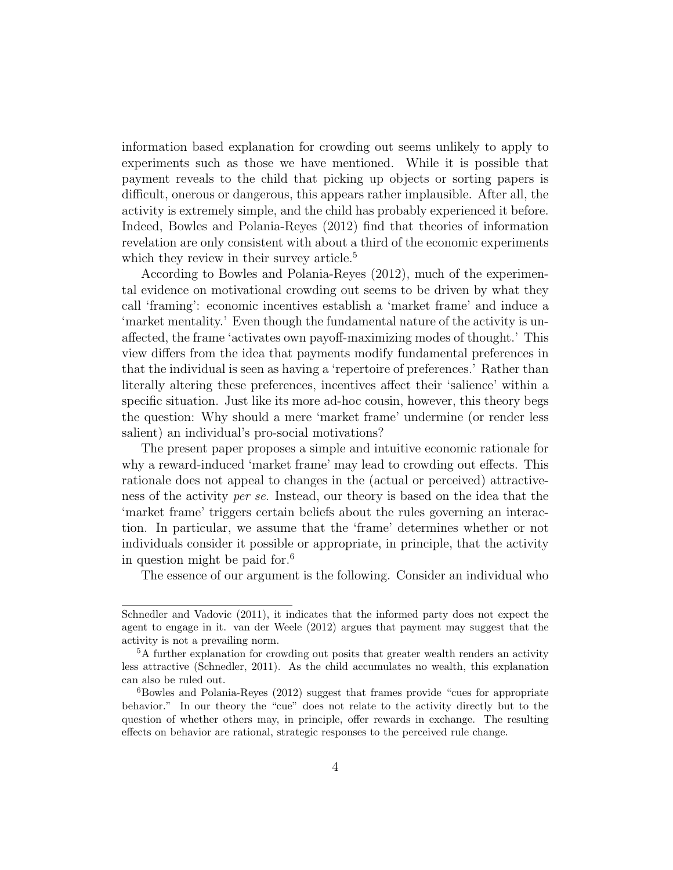information based explanation for crowding out seems unlikely to apply to experiments such as those we have mentioned. While it is possible that payment reveals to the child that picking up objects or sorting papers is difficult, onerous or dangerous, this appears rather implausible. After all, the activity is extremely simple, and the child has probably experienced it before. Indeed, Bowles and Polania-Reyes (2012) find that theories of information revelation are only consistent with about a third of the economic experiments which they review in their survey article.<sup>5</sup>

According to Bowles and Polania-Reyes (2012), much of the experimental evidence on motivational crowding out seems to be driven by what they call 'framing': economic incentives establish a 'market frame' and induce a 'market mentality.' Even though the fundamental nature of the activity is unaffected, the frame 'activates own payoff-maximizing modes of thought.' This view differs from the idea that payments modify fundamental preferences in that the individual is seen as having a 'repertoire of preferences.' Rather than literally altering these preferences, incentives affect their 'salience' within a specific situation. Just like its more ad-hoc cousin, however, this theory begs the question: Why should a mere 'market frame' undermine (or render less salient) an individual's pro-social motivations?

The present paper proposes a simple and intuitive economic rationale for why a reward-induced 'market frame' may lead to crowding out effects. This rationale does not appeal to changes in the (actual or perceived) attractiveness of the activity per se. Instead, our theory is based on the idea that the 'market frame' triggers certain beliefs about the rules governing an interaction. In particular, we assume that the 'frame' determines whether or not individuals consider it possible or appropriate, in principle, that the activity in question might be paid for. $6$ 

The essence of our argument is the following. Consider an individual who

Schnedler and Vadovic (2011), it indicates that the informed party does not expect the agent to engage in it. van der Weele (2012) argues that payment may suggest that the activity is not a prevailing norm.

<sup>5</sup>A further explanation for crowding out posits that greater wealth renders an activity less attractive (Schnedler, 2011). As the child accumulates no wealth, this explanation can also be ruled out.

 $6Bowles$  and Polania-Reyes (2012) suggest that frames provide "cues for appropriate" behavior." In our theory the "cue" does not relate to the activity directly but to the question of whether others may, in principle, offer rewards in exchange. The resulting effects on behavior are rational, strategic responses to the perceived rule change.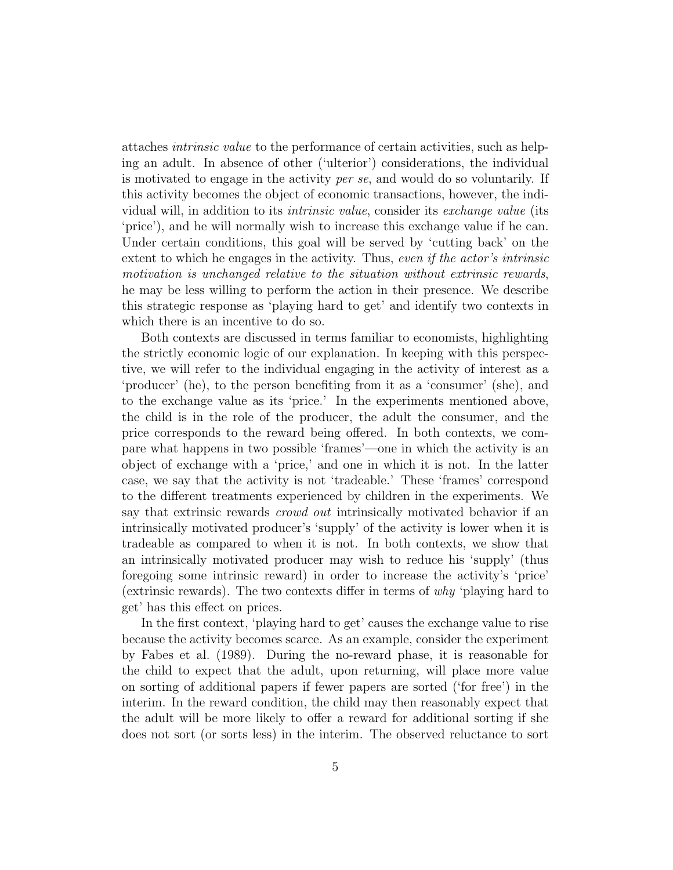attaches intrinsic value to the performance of certain activities, such as helping an adult. In absence of other ('ulterior') considerations, the individual is motivated to engage in the activity per se, and would do so voluntarily. If this activity becomes the object of economic transactions, however, the individual will, in addition to its intrinsic value, consider its exchange value (its 'price'), and he will normally wish to increase this exchange value if he can. Under certain conditions, this goal will be served by 'cutting back' on the extent to which he engages in the activity. Thus, even if the actor's intrinsic motivation is unchanged relative to the situation without extrinsic rewards, he may be less willing to perform the action in their presence. We describe this strategic response as 'playing hard to get' and identify two contexts in which there is an incentive to do so.

Both contexts are discussed in terms familiar to economists, highlighting the strictly economic logic of our explanation. In keeping with this perspective, we will refer to the individual engaging in the activity of interest as a 'producer' (he), to the person benefiting from it as a 'consumer' (she), and to the exchange value as its 'price.' In the experiments mentioned above, the child is in the role of the producer, the adult the consumer, and the price corresponds to the reward being offered. In both contexts, we compare what happens in two possible 'frames'—one in which the activity is an object of exchange with a 'price,' and one in which it is not. In the latter case, we say that the activity is not 'tradeable.' These 'frames' correspond to the different treatments experienced by children in the experiments. We say that extrinsic rewards *crowd out* intrinsically motivated behavior if an intrinsically motivated producer's 'supply' of the activity is lower when it is tradeable as compared to when it is not. In both contexts, we show that an intrinsically motivated producer may wish to reduce his 'supply' (thus foregoing some intrinsic reward) in order to increase the activity's 'price' (extrinsic rewards). The two contexts differ in terms of why 'playing hard to get' has this effect on prices.

In the first context, 'playing hard to get' causes the exchange value to rise because the activity becomes scarce. As an example, consider the experiment by Fabes et al. (1989). During the no-reward phase, it is reasonable for the child to expect that the adult, upon returning, will place more value on sorting of additional papers if fewer papers are sorted ('for free') in the interim. In the reward condition, the child may then reasonably expect that the adult will be more likely to offer a reward for additional sorting if she does not sort (or sorts less) in the interim. The observed reluctance to sort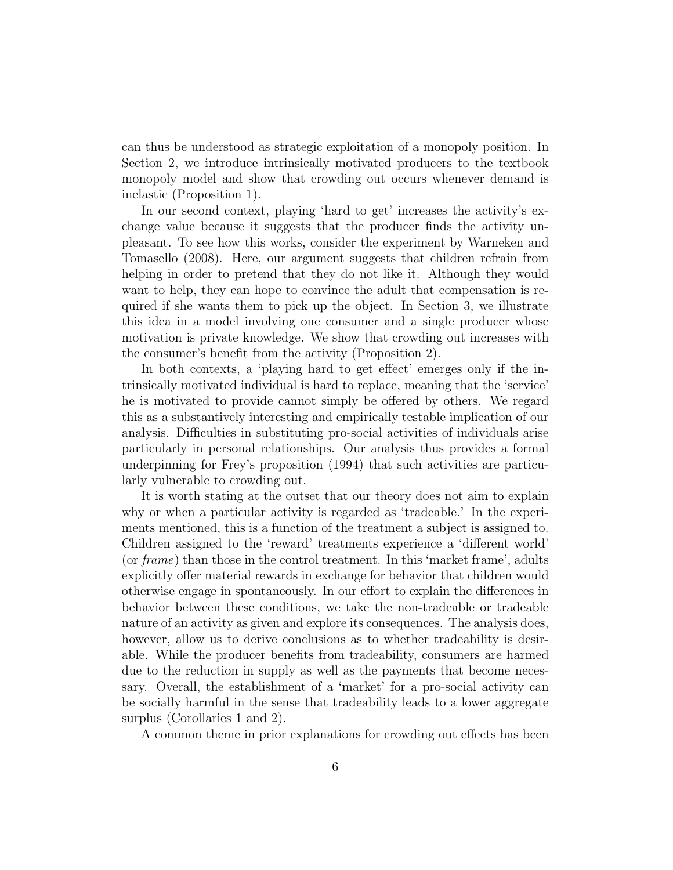can thus be understood as strategic exploitation of a monopoly position. In Section 2, we introduce intrinsically motivated producers to the textbook monopoly model and show that crowding out occurs whenever demand is inelastic (Proposition 1).

In our second context, playing 'hard to get' increases the activity's exchange value because it suggests that the producer finds the activity unpleasant. To see how this works, consider the experiment by Warneken and Tomasello (2008). Here, our argument suggests that children refrain from helping in order to pretend that they do not like it. Although they would want to help, they can hope to convince the adult that compensation is required if she wants them to pick up the object. In Section 3, we illustrate this idea in a model involving one consumer and a single producer whose motivation is private knowledge. We show that crowding out increases with the consumer's benefit from the activity (Proposition 2).

In both contexts, a 'playing hard to get effect' emerges only if the intrinsically motivated individual is hard to replace, meaning that the 'service' he is motivated to provide cannot simply be offered by others. We regard this as a substantively interesting and empirically testable implication of our analysis. Difficulties in substituting pro-social activities of individuals arise particularly in personal relationships. Our analysis thus provides a formal underpinning for Frey's proposition (1994) that such activities are particularly vulnerable to crowding out.

It is worth stating at the outset that our theory does not aim to explain why or when a particular activity is regarded as 'tradeable.' In the experiments mentioned, this is a function of the treatment a subject is assigned to. Children assigned to the 'reward' treatments experience a 'different world' (or frame) than those in the control treatment. In this 'market frame', adults explicitly offer material rewards in exchange for behavior that children would otherwise engage in spontaneously. In our effort to explain the differences in behavior between these conditions, we take the non-tradeable or tradeable nature of an activity as given and explore its consequences. The analysis does, however, allow us to derive conclusions as to whether tradeability is desirable. While the producer benefits from tradeability, consumers are harmed due to the reduction in supply as well as the payments that become necessary. Overall, the establishment of a 'market' for a pro-social activity can be socially harmful in the sense that tradeability leads to a lower aggregate surplus (Corollaries 1 and 2).

A common theme in prior explanations for crowding out effects has been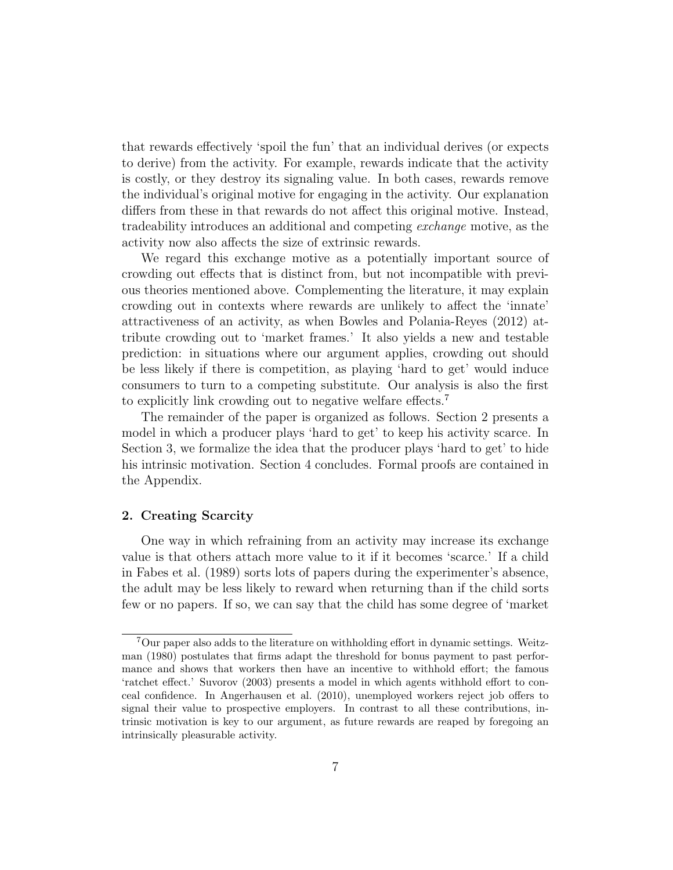that rewards effectively 'spoil the fun' that an individual derives (or expects to derive) from the activity. For example, rewards indicate that the activity is costly, or they destroy its signaling value. In both cases, rewards remove the individual's original motive for engaging in the activity. Our explanation differs from these in that rewards do not affect this original motive. Instead, tradeability introduces an additional and competing exchange motive, as the activity now also affects the size of extrinsic rewards.

We regard this exchange motive as a potentially important source of crowding out effects that is distinct from, but not incompatible with previous theories mentioned above. Complementing the literature, it may explain crowding out in contexts where rewards are unlikely to affect the 'innate' attractiveness of an activity, as when Bowles and Polania-Reyes (2012) attribute crowding out to 'market frames.' It also yields a new and testable prediction: in situations where our argument applies, crowding out should be less likely if there is competition, as playing 'hard to get' would induce consumers to turn to a competing substitute. Our analysis is also the first to explicitly link crowding out to negative welfare effects.<sup>7</sup>

The remainder of the paper is organized as follows. Section 2 presents a model in which a producer plays 'hard to get' to keep his activity scarce. In Section 3, we formalize the idea that the producer plays 'hard to get' to hide his intrinsic motivation. Section 4 concludes. Formal proofs are contained in the Appendix.

#### 2. Creating Scarcity

One way in which refraining from an activity may increase its exchange value is that others attach more value to it if it becomes 'scarce.' If a child in Fabes et al. (1989) sorts lots of papers during the experimenter's absence, the adult may be less likely to reward when returning than if the child sorts few or no papers. If so, we can say that the child has some degree of 'market

 $7$ Our paper also adds to the literature on withholding effort in dynamic settings. Weitzman (1980) postulates that firms adapt the threshold for bonus payment to past performance and shows that workers then have an incentive to withhold effort; the famous 'ratchet effect.' Suvorov (2003) presents a model in which agents withhold effort to conceal confidence. In Angerhausen et al. (2010), unemployed workers reject job offers to signal their value to prospective employers. In contrast to all these contributions, intrinsic motivation is key to our argument, as future rewards are reaped by foregoing an intrinsically pleasurable activity.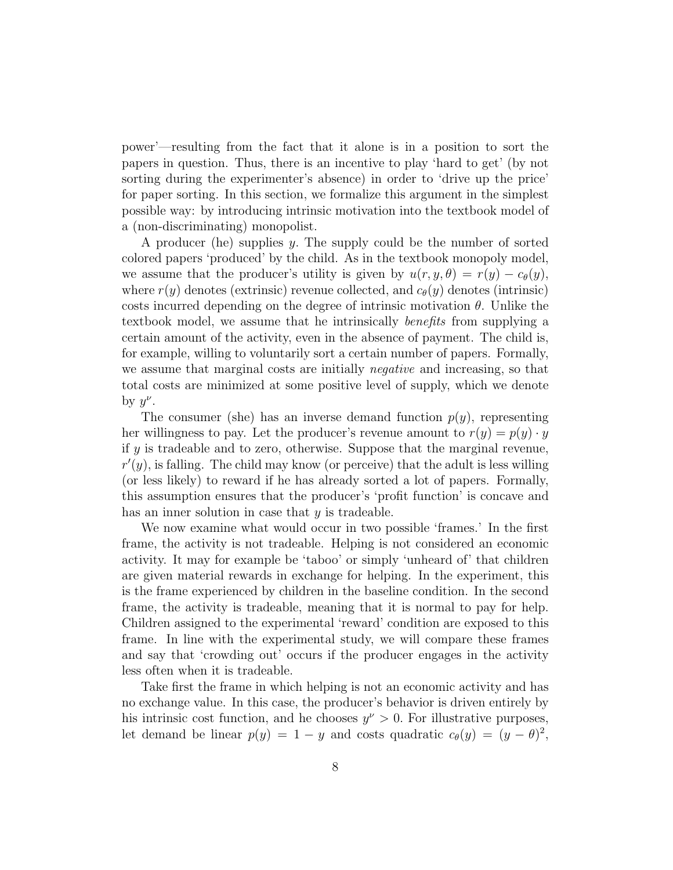power'—resulting from the fact that it alone is in a position to sort the papers in question. Thus, there is an incentive to play 'hard to get' (by not sorting during the experimenter's absence) in order to 'drive up the price' for paper sorting. In this section, we formalize this argument in the simplest possible way: by introducing intrinsic motivation into the textbook model of a (non-discriminating) monopolist.

A producer (he) supplies y. The supply could be the number of sorted colored papers 'produced' by the child. As in the textbook monopoly model, we assume that the producer's utility is given by  $u(r, y, \theta) = r(y) - c_{\theta}(y)$ , where  $r(y)$  denotes (extrinsic) revenue collected, and  $c_{\theta}(y)$  denotes (intrinsic) costs incurred depending on the degree of intrinsic motivation  $\theta$ . Unlike the textbook model, we assume that he intrinsically benefits from supplying a certain amount of the activity, even in the absence of payment. The child is, for example, willing to voluntarily sort a certain number of papers. Formally, we assume that marginal costs are initially *negative* and increasing, so that total costs are minimized at some positive level of supply, which we denote by  $y^{\nu}$ .

The consumer (she) has an inverse demand function  $p(y)$ , representing her willingness to pay. Let the producer's revenue amount to  $r(y) = p(y) \cdot y$ if  $y$  is tradeable and to zero, otherwise. Suppose that the marginal revenue,  $r'(y)$ , is falling. The child may know (or perceive) that the adult is less willing (or less likely) to reward if he has already sorted a lot of papers. Formally, this assumption ensures that the producer's 'profit function' is concave and has an inner solution in case that  $y$  is tradeable.

We now examine what would occur in two possible 'frames.' In the first frame, the activity is not tradeable. Helping is not considered an economic activity. It may for example be 'taboo' or simply 'unheard of' that children are given material rewards in exchange for helping. In the experiment, this is the frame experienced by children in the baseline condition. In the second frame, the activity is tradeable, meaning that it is normal to pay for help. Children assigned to the experimental 'reward' condition are exposed to this frame. In line with the experimental study, we will compare these frames and say that 'crowding out' occurs if the producer engages in the activity less often when it is tradeable.

Take first the frame in which helping is not an economic activity and has no exchange value. In this case, the producer's behavior is driven entirely by his intrinsic cost function, and he chooses  $y^{\nu} > 0$ . For illustrative purposes, let demand be linear  $p(y) = 1 - y$  and costs quadratic  $c_{\theta}(y) = (y - \theta)^2$ ,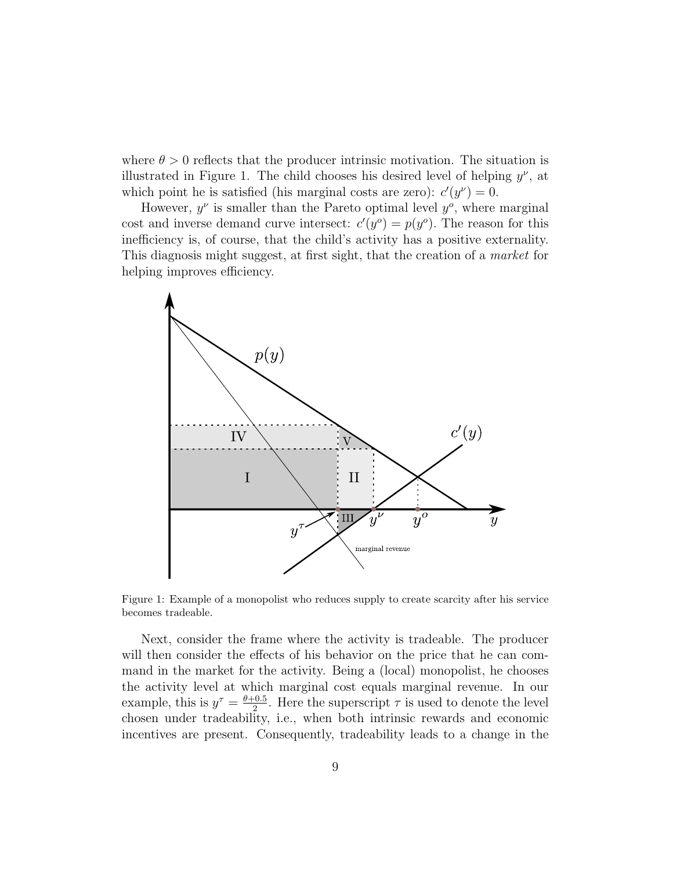where  $\theta > 0$  reflects that the producer intrinsic motivation. The situation is illustrated in Figure 1. The child chooses his desired level of helping  $y^{\nu}$ , at which point he is satisfied (his marginal costs are zero):  $c'(y^{\nu}) = 0$ .

However,  $y^{\nu}$  is smaller than the Pareto optimal level  $y^{\rho}$ , where marginal cost and inverse demand curve intersect:  $c'(y^o) = p(y^o)$ . The reason for this inefficiency is, of course, that the child's activity has a positive externality. This diagnosis might suggest, at first sight, that the creation of a market for helping improves efficiency.



Figure 1: Example of a monopolist who reduces supply to create scarcity after his service becomes tradeable.

Next, consider the frame where the activity is tradeable. The producer will then consider the effects of his behavior on the price that he can command in the market for the activity. Being a (local) monopolist, he chooses the activity level at which marginal cost equals marginal revenue. In our example, this is  $y^{\tau} = \frac{\theta + 0.5}{2}$  $\frac{1}{2}$ . Here the superscript  $\tau$  is used to denote the level chosen under tradeability, i.e., when both intrinsic rewards and economic incentives are present. Consequently, tradeability leads to a change in the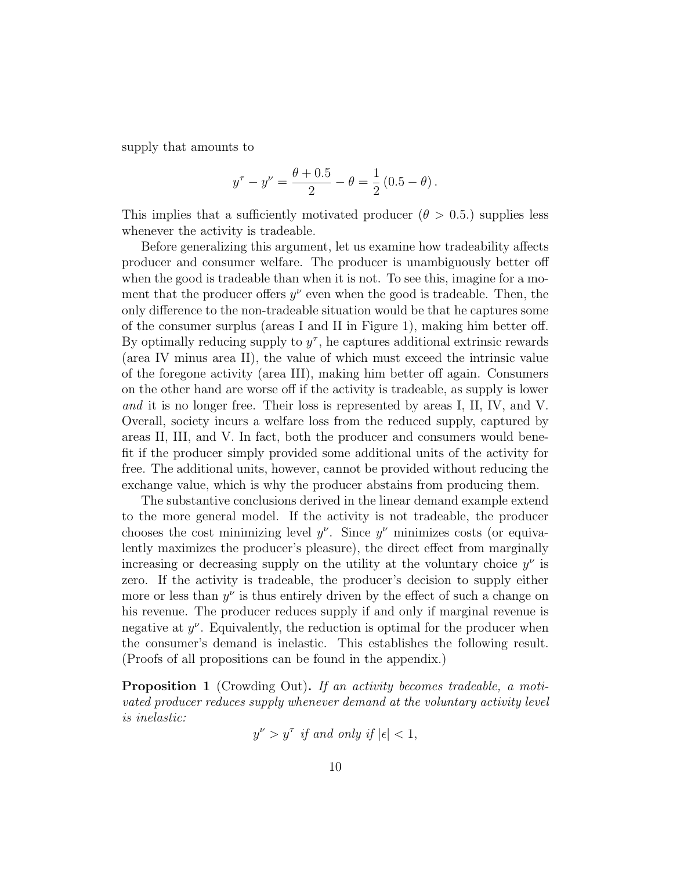supply that amounts to

$$
y^{\tau} - y^{\nu} = \frac{\theta + 0.5}{2} - \theta = \frac{1}{2} (0.5 - \theta).
$$

This implies that a sufficiently motivated producer  $(\theta > 0.5)$  supplies less whenever the activity is tradeable.

Before generalizing this argument, let us examine how tradeability affects producer and consumer welfare. The producer is unambiguously better off when the good is tradeable than when it is not. To see this, imagine for a moment that the producer offers  $y^{\nu}$  even when the good is tradeable. Then, the only difference to the non-tradeable situation would be that he captures some of the consumer surplus (areas I and II in Figure 1), making him better off. By optimally reducing supply to  $y^{\tau}$ , he captures additional extrinsic rewards (area IV minus area II), the value of which must exceed the intrinsic value of the foregone activity (area III), making him better off again. Consumers on the other hand are worse off if the activity is tradeable, as supply is lower and it is no longer free. Their loss is represented by areas I, II, IV, and V. Overall, society incurs a welfare loss from the reduced supply, captured by areas II, III, and V. In fact, both the producer and consumers would benefit if the producer simply provided some additional units of the activity for free. The additional units, however, cannot be provided without reducing the exchange value, which is why the producer abstains from producing them.

The substantive conclusions derived in the linear demand example extend to the more general model. If the activity is not tradeable, the producer chooses the cost minimizing level  $y^{\nu}$ . Since  $y^{\nu}$  minimizes costs (or equivalently maximizes the producer's pleasure), the direct effect from marginally increasing or decreasing supply on the utility at the voluntary choice  $y^{\nu}$  is zero. If the activity is tradeable, the producer's decision to supply either more or less than  $y^{\nu}$  is thus entirely driven by the effect of such a change on his revenue. The producer reduces supply if and only if marginal revenue is negative at  $y^{\nu}$ . Equivalently, the reduction is optimal for the producer when the consumer's demand is inelastic. This establishes the following result. (Proofs of all propositions can be found in the appendix.)

Proposition 1 (Crowding Out). If an activity becomes tradeable, a motivated producer reduces supply whenever demand at the voluntary activity level is inelastic:

 $y^{\nu} > y^{\tau}$  if and only if  $|\epsilon| < 1$ ,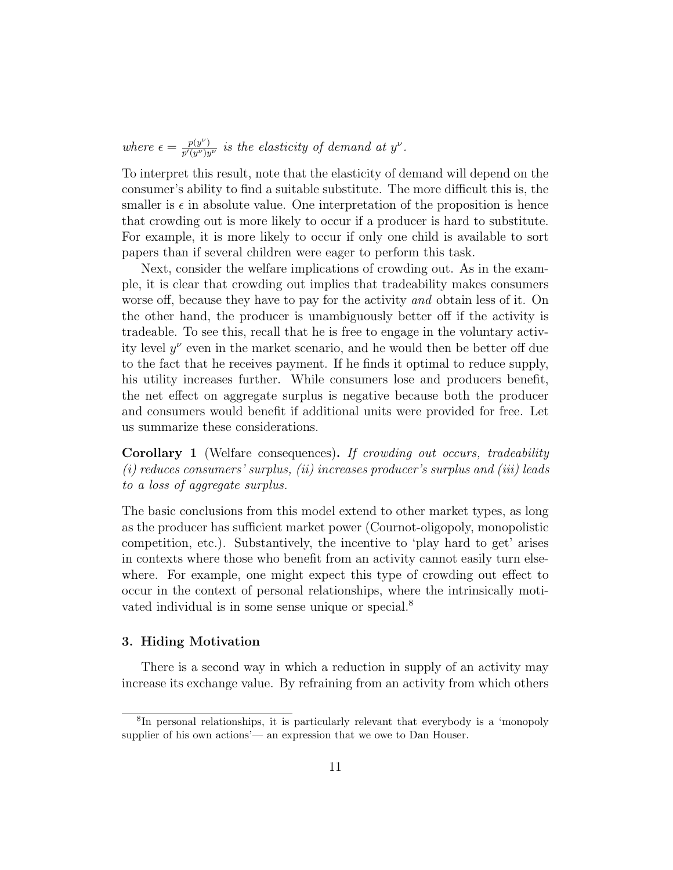where  $\epsilon = \frac{p(y^{\nu})}{p'(y^{\nu})^2}$  $\frac{p(y^{\nu})}{p'(y^{\nu})y^{\nu}}$  is the elasticity of demand at  $y^{\nu}$ .

To interpret this result, note that the elasticity of demand will depend on the consumer's ability to find a suitable substitute. The more difficult this is, the smaller is  $\epsilon$  in absolute value. One interpretation of the proposition is hence that crowding out is more likely to occur if a producer is hard to substitute. For example, it is more likely to occur if only one child is available to sort papers than if several children were eager to perform this task.

Next, consider the welfare implications of crowding out. As in the example, it is clear that crowding out implies that tradeability makes consumers worse off, because they have to pay for the activity and obtain less of it. On the other hand, the producer is unambiguously better off if the activity is tradeable. To see this, recall that he is free to engage in the voluntary activity level  $y^{\nu}$  even in the market scenario, and he would then be better off due to the fact that he receives payment. If he finds it optimal to reduce supply, his utility increases further. While consumers lose and producers benefit, the net effect on aggregate surplus is negative because both the producer and consumers would benefit if additional units were provided for free. Let us summarize these considerations.

Corollary 1 (Welfare consequences). If crowding out occurs, tradeability  $(i)$  reduces consumers' surplus,  $(ii)$  increases producer's surplus and  $(iii)$  leads to a loss of aggregate surplus.

The basic conclusions from this model extend to other market types, as long as the producer has sufficient market power (Cournot-oligopoly, monopolistic competition, etc.). Substantively, the incentive to 'play hard to get' arises in contexts where those who benefit from an activity cannot easily turn elsewhere. For example, one might expect this type of crowding out effect to occur in the context of personal relationships, where the intrinsically motivated individual is in some sense unique or special.<sup>8</sup>

#### 3. Hiding Motivation

There is a second way in which a reduction in supply of an activity may increase its exchange value. By refraining from an activity from which others

<sup>8</sup> In personal relationships, it is particularly relevant that everybody is a 'monopoly supplier of his own actions'— an expression that we owe to Dan Houser.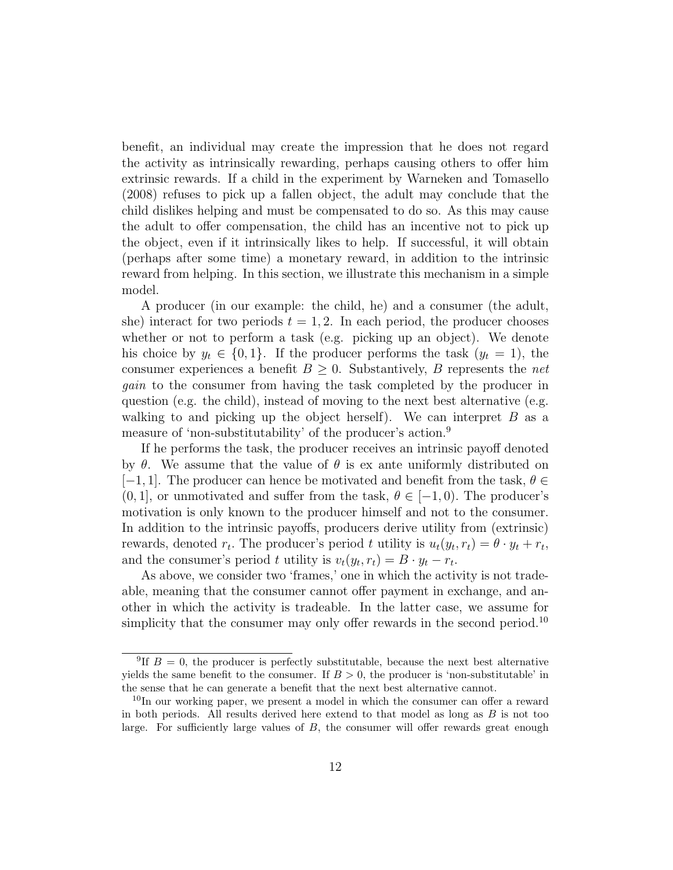benefit, an individual may create the impression that he does not regard the activity as intrinsically rewarding, perhaps causing others to offer him extrinsic rewards. If a child in the experiment by Warneken and Tomasello (2008) refuses to pick up a fallen object, the adult may conclude that the child dislikes helping and must be compensated to do so. As this may cause the adult to offer compensation, the child has an incentive not to pick up the object, even if it intrinsically likes to help. If successful, it will obtain (perhaps after some time) a monetary reward, in addition to the intrinsic reward from helping. In this section, we illustrate this mechanism in a simple model.

A producer (in our example: the child, he) and a consumer (the adult, she) interact for two periods  $t = 1, 2$ . In each period, the producer chooses whether or not to perform a task (e.g. picking up an object). We denote his choice by  $y_t \in \{0, 1\}$ . If the producer performs the task  $(y_t = 1)$ , the consumer experiences a benefit  $B \geq 0$ . Substantively, B represents the net gain to the consumer from having the task completed by the producer in question (e.g. the child), instead of moving to the next best alternative (e.g. walking to and picking up the object herself). We can interpret  $B$  as a measure of 'non-substitutability' of the producer's action.<sup>9</sup>

If he performs the task, the producer receives an intrinsic payoff denoted by  $\theta$ . We assume that the value of  $\theta$  is ex ante uniformly distributed on  $[-1, 1]$ . The producer can hence be motivated and benefit from the task,  $\theta \in$  $(0, 1]$ , or unmotivated and suffer from the task,  $\theta \in [-1, 0)$ . The producer's motivation is only known to the producer himself and not to the consumer. In addition to the intrinsic payoffs, producers derive utility from (extrinsic) rewards, denoted  $r_t$ . The producer's period t utility is  $u_t(y_t, r_t) = \theta \cdot y_t + r_t$ , and the consumer's period t utility is  $v_t(y_t, r_t) = B \cdot y_t - r_t$ .

As above, we consider two 'frames,' one in which the activity is not tradeable, meaning that the consumer cannot offer payment in exchange, and another in which the activity is tradeable. In the latter case, we assume for simplicity that the consumer may only offer rewards in the second period.<sup>10</sup>

<sup>&</sup>lt;sup>9</sup>If  $B = 0$ , the producer is perfectly substitutable, because the next best alternative yields the same benefit to the consumer. If  $B > 0$ , the producer is 'non-substitutable' in the sense that he can generate a benefit that the next best alternative cannot.

<sup>&</sup>lt;sup>10</sup>In our working paper, we present a model in which the consumer can offer a reward in both periods. All results derived here extend to that model as long as  $B$  is not too large. For sufficiently large values of B, the consumer will offer rewards great enough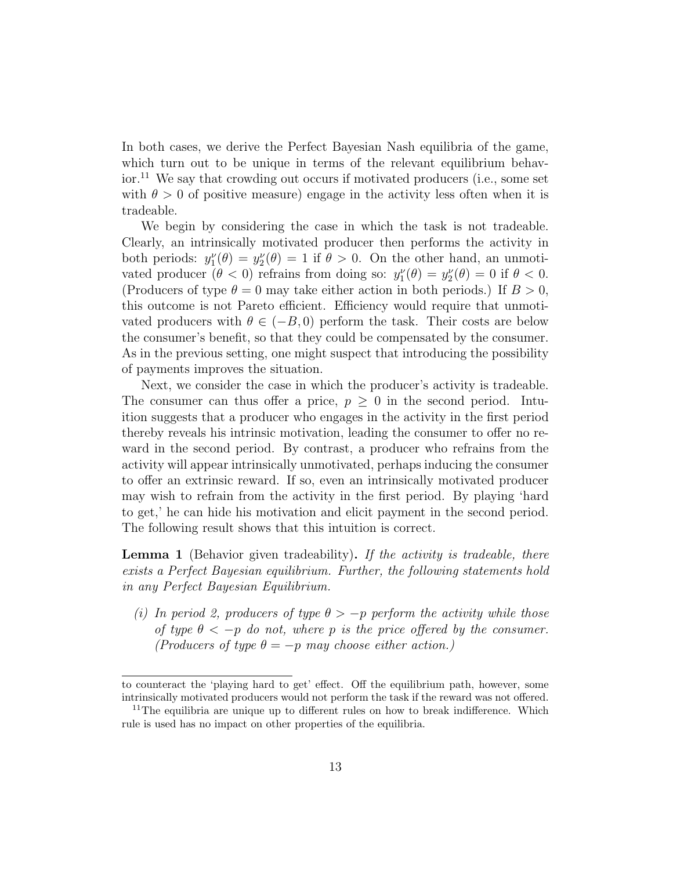In both cases, we derive the Perfect Bayesian Nash equilibria of the game, which turn out to be unique in terms of the relevant equilibrium behavior.<sup>11</sup> We say that crowding out occurs if motivated producers (i.e., some set with  $\theta > 0$  of positive measure) engage in the activity less often when it is tradeable.

We begin by considering the case in which the task is not tradeable. Clearly, an intrinsically motivated producer then performs the activity in both periods:  $y_1^{\nu}(\theta) = y_2^{\nu}(\theta) = 1$  if  $\theta > 0$ . On the other hand, an unmotivated producer  $(\theta < 0)$  refrains from doing so:  $y_1^{\nu}(\theta) = y_2^{\nu}(\theta) = 0$  if  $\theta < 0$ . (Producers of type  $\theta = 0$  may take either action in both periods.) If  $B > 0$ , this outcome is not Pareto efficient. Efficiency would require that unmotivated producers with  $\theta \in (-B, 0)$  perform the task. Their costs are below the consumer's benefit, so that they could be compensated by the consumer. As in the previous setting, one might suspect that introducing the possibility of payments improves the situation.

Next, we consider the case in which the producer's activity is tradeable. The consumer can thus offer a price,  $p \geq 0$  in the second period. Intuition suggests that a producer who engages in the activity in the first period thereby reveals his intrinsic motivation, leading the consumer to offer no reward in the second period. By contrast, a producer who refrains from the activity will appear intrinsically unmotivated, perhaps inducing the consumer to offer an extrinsic reward. If so, even an intrinsically motivated producer may wish to refrain from the activity in the first period. By playing 'hard to get,' he can hide his motivation and elicit payment in the second period. The following result shows that this intuition is correct.

**Lemma 1** (Behavior given tradeability). If the activity is tradeable, there exists a Perfect Bayesian equilibrium. Further, the following statements hold in any Perfect Bayesian Equilibrium.

(i) In period 2, producers of type  $\theta > -p$  perform the activity while those of type  $\theta < -p$  do not, where p is the price offered by the consumer. (Producers of type  $\theta = -p$  may choose either action.)

to counteract the 'playing hard to get' effect. Off the equilibrium path, however, some intrinsically motivated producers would not perform the task if the reward was not offered.

<sup>&</sup>lt;sup>11</sup>The equilibria are unique up to different rules on how to break indifference. Which rule is used has no impact on other properties of the equilibria.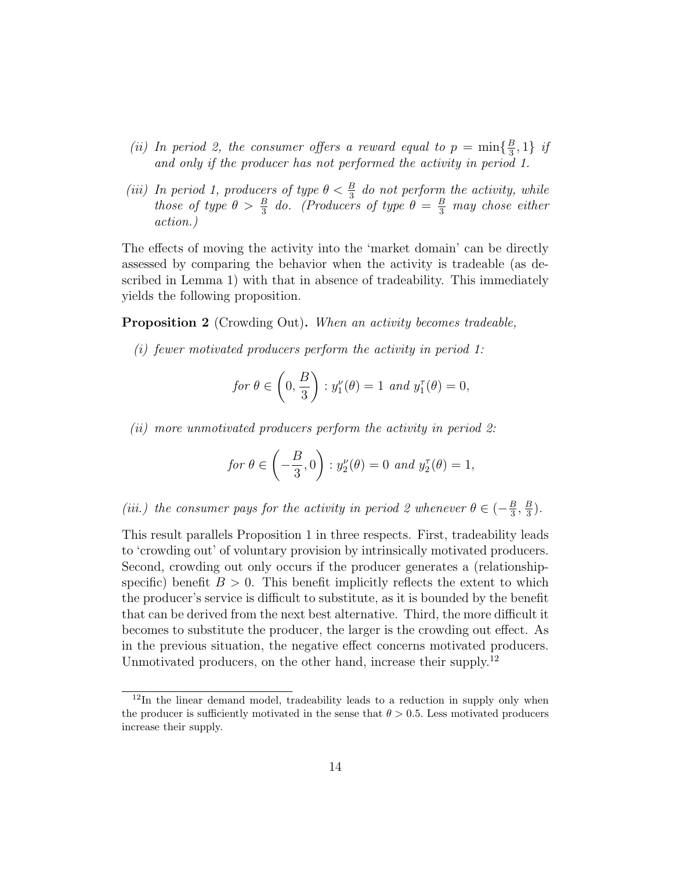- (ii) In period 2, the consumer offers a reward equal to  $p = \min\{\frac{B}{3}\}$  $\frac{B}{3}, 1$  if and only if the producer has not performed the activity in period 1.
- (iii) In period 1, producers of type  $\theta < \frac{B}{3}$  do not perform the activity, while those of type  $\theta > \frac{B}{3}$  do. (Producers of type  $\theta = \frac{B}{3}$  may chose either action.)

The effects of moving the activity into the 'market domain' can be directly assessed by comparing the behavior when the activity is tradeable (as described in Lemma 1) with that in absence of tradeability. This immediately yields the following proposition.

Proposition 2 (Crowding Out). When an activity becomes tradeable,

 $(i)$  fewer motivated producers perform the activity in period 1:

for 
$$
\theta \in \left(0, \frac{B}{3}\right) : y_1^{\nu}(\theta) = 1
$$
 and  $y_1^{\tau}(\theta) = 0$ ,

(ii) more unmotivated producers perform the activity in period 2:

$$
for \theta \in \left(-\frac{B}{3}, 0\right) : y_2^{\nu}(\theta) = 0 \text{ and } y_2^{\tau}(\theta) = 1,
$$

(iii.) the consumer pays for the activity in period 2 whenever  $\theta \in (-\frac{B}{3})$  $\frac{B}{3}$ ,  $\frac{B}{3}$  $\frac{B}{3}$ .

This result parallels Proposition 1 in three respects. First, tradeability leads to 'crowding out' of voluntary provision by intrinsically motivated producers. Second, crowding out only occurs if the producer generates a (relationshipspecific) benefit  $B > 0$ . This benefit implicitly reflects the extent to which the producer's service is difficult to substitute, as it is bounded by the benefit that can be derived from the next best alternative. Third, the more difficult it becomes to substitute the producer, the larger is the crowding out effect. As in the previous situation, the negative effect concerns motivated producers. Unmotivated producers, on the other hand, increase their supply.<sup>12</sup>

 $12$ In the linear demand model, tradeability leads to a reduction in supply only when the producer is sufficiently motivated in the sense that  $\theta > 0.5$ . Less motivated producers increase their supply.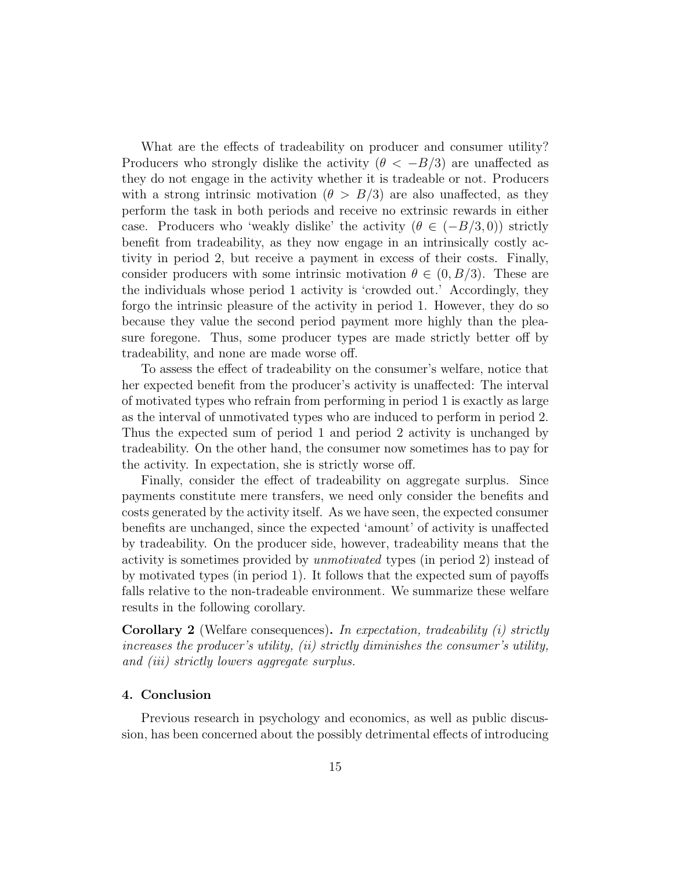What are the effects of tradeability on producer and consumer utility? Producers who strongly dislike the activity ( $\theta < -B/3$ ) are unaffected as they do not engage in the activity whether it is tradeable or not. Producers with a strong intrinsic motivation ( $\theta > B/3$ ) are also unaffected, as they perform the task in both periods and receive no extrinsic rewards in either case. Producers who 'weakly dislike' the activity  $(\theta \in (-B/3, 0))$  strictly benefit from tradeability, as they now engage in an intrinsically costly activity in period 2, but receive a payment in excess of their costs. Finally, consider producers with some intrinsic motivation  $\theta \in (0, B/3)$ . These are the individuals whose period 1 activity is 'crowded out.' Accordingly, they forgo the intrinsic pleasure of the activity in period 1. However, they do so because they value the second period payment more highly than the pleasure foregone. Thus, some producer types are made strictly better off by tradeability, and none are made worse off.

To assess the effect of tradeability on the consumer's welfare, notice that her expected benefit from the producer's activity is unaffected: The interval of motivated types who refrain from performing in period 1 is exactly as large as the interval of unmotivated types who are induced to perform in period 2. Thus the expected sum of period 1 and period 2 activity is unchanged by tradeability. On the other hand, the consumer now sometimes has to pay for the activity. In expectation, she is strictly worse off.

Finally, consider the effect of tradeability on aggregate surplus. Since payments constitute mere transfers, we need only consider the benefits and costs generated by the activity itself. As we have seen, the expected consumer benefits are unchanged, since the expected 'amount' of activity is unaffected by tradeability. On the producer side, however, tradeability means that the activity is sometimes provided by unmotivated types (in period 2) instead of by motivated types (in period 1). It follows that the expected sum of payoffs falls relative to the non-tradeable environment. We summarize these welfare results in the following corollary.

Corollary 2 (Welfare consequences). In expectation, tradeability (i) strictly increases the producer's utility, (ii) strictly diminishes the consumer's utility, and (iii) strictly lowers aggregate surplus.

#### 4. Conclusion

Previous research in psychology and economics, as well as public discussion, has been concerned about the possibly detrimental effects of introducing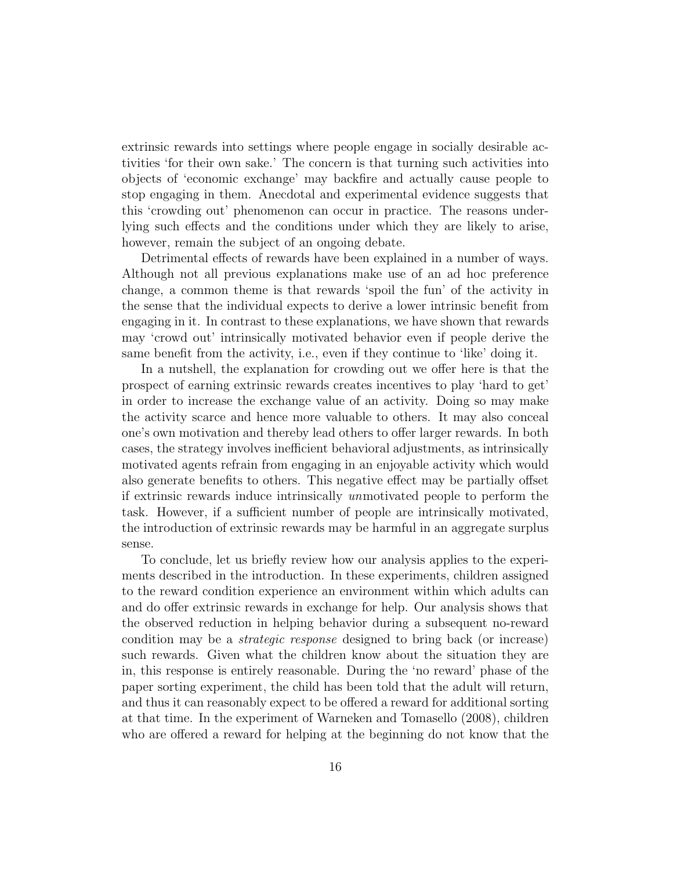extrinsic rewards into settings where people engage in socially desirable activities 'for their own sake.' The concern is that turning such activities into objects of 'economic exchange' may backfire and actually cause people to stop engaging in them. Anecdotal and experimental evidence suggests that this 'crowding out' phenomenon can occur in practice. The reasons underlying such effects and the conditions under which they are likely to arise, however, remain the subject of an ongoing debate.

Detrimental effects of rewards have been explained in a number of ways. Although not all previous explanations make use of an ad hoc preference change, a common theme is that rewards 'spoil the fun' of the activity in the sense that the individual expects to derive a lower intrinsic benefit from engaging in it. In contrast to these explanations, we have shown that rewards may 'crowd out' intrinsically motivated behavior even if people derive the same benefit from the activity, i.e., even if they continue to 'like' doing it.

In a nutshell, the explanation for crowding out we offer here is that the prospect of earning extrinsic rewards creates incentives to play 'hard to get' in order to increase the exchange value of an activity. Doing so may make the activity scarce and hence more valuable to others. It may also conceal one's own motivation and thereby lead others to offer larger rewards. In both cases, the strategy involves inefficient behavioral adjustments, as intrinsically motivated agents refrain from engaging in an enjoyable activity which would also generate benefits to others. This negative effect may be partially offset if extrinsic rewards induce intrinsically unmotivated people to perform the task. However, if a sufficient number of people are intrinsically motivated, the introduction of extrinsic rewards may be harmful in an aggregate surplus sense.

To conclude, let us briefly review how our analysis applies to the experiments described in the introduction. In these experiments, children assigned to the reward condition experience an environment within which adults can and do offer extrinsic rewards in exchange for help. Our analysis shows that the observed reduction in helping behavior during a subsequent no-reward condition may be a strategic response designed to bring back (or increase) such rewards. Given what the children know about the situation they are in, this response is entirely reasonable. During the 'no reward' phase of the paper sorting experiment, the child has been told that the adult will return, and thus it can reasonably expect to be offered a reward for additional sorting at that time. In the experiment of Warneken and Tomasello (2008), children who are offered a reward for helping at the beginning do not know that the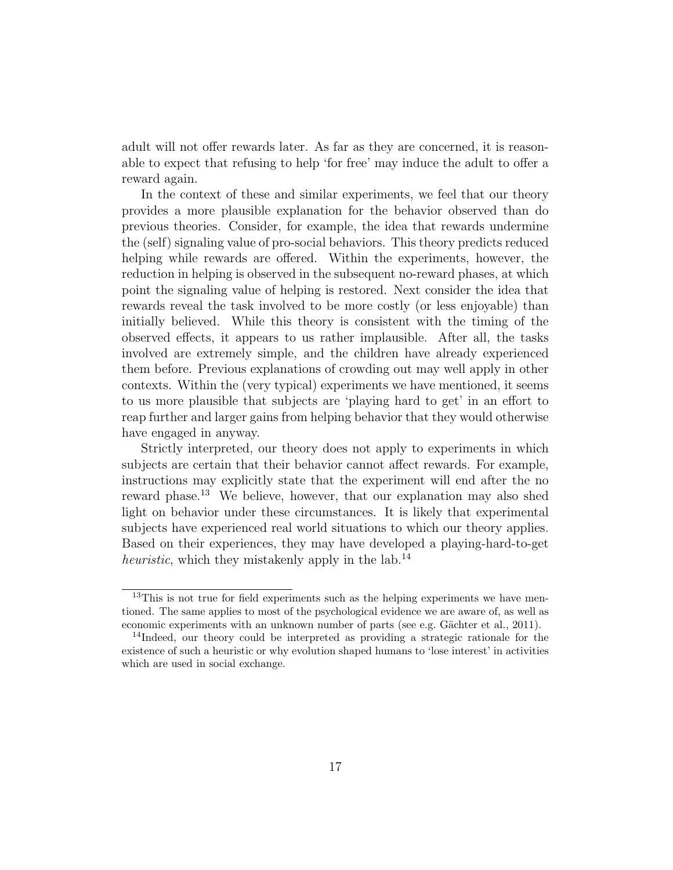adult will not offer rewards later. As far as they are concerned, it is reasonable to expect that refusing to help 'for free' may induce the adult to offer a reward again.

In the context of these and similar experiments, we feel that our theory provides a more plausible explanation for the behavior observed than do previous theories. Consider, for example, the idea that rewards undermine the (self) signaling value of pro-social behaviors. This theory predicts reduced helping while rewards are offered. Within the experiments, however, the reduction in helping is observed in the subsequent no-reward phases, at which point the signaling value of helping is restored. Next consider the idea that rewards reveal the task involved to be more costly (or less enjoyable) than initially believed. While this theory is consistent with the timing of the observed effects, it appears to us rather implausible. After all, the tasks involved are extremely simple, and the children have already experienced them before. Previous explanations of crowding out may well apply in other contexts. Within the (very typical) experiments we have mentioned, it seems to us more plausible that subjects are 'playing hard to get' in an effort to reap further and larger gains from helping behavior that they would otherwise have engaged in anyway.

Strictly interpreted, our theory does not apply to experiments in which subjects are certain that their behavior cannot affect rewards. For example, instructions may explicitly state that the experiment will end after the no reward phase.<sup>13</sup> We believe, however, that our explanation may also shed light on behavior under these circumstances. It is likely that experimental subjects have experienced real world situations to which our theory applies. Based on their experiences, they may have developed a playing-hard-to-get heuristic, which they mistakenly apply in the lab.<sup>14</sup>

<sup>&</sup>lt;sup>13</sup>This is not true for field experiments such as the helping experiments we have mentioned. The same applies to most of the psychological evidence we are aware of, as well as economic experiments with an unknown number of parts (see e.g. Gächter et al., 2011).

<sup>&</sup>lt;sup>14</sup>Indeed, our theory could be interpreted as providing a strategic rationale for the existence of such a heuristic or why evolution shaped humans to 'lose interest' in activities which are used in social exchange.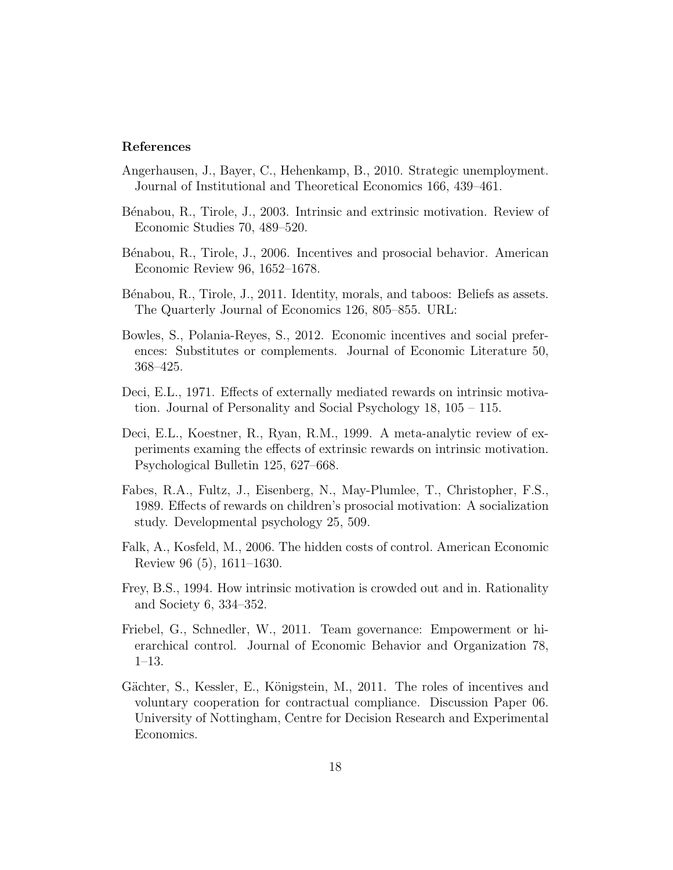#### References

- Angerhausen, J., Bayer, C., Hehenkamp, B., 2010. Strategic unemployment. Journal of Institutional and Theoretical Economics 166, 439–461.
- B´enabou, R., Tirole, J., 2003. Intrinsic and extrinsic motivation. Review of Economic Studies 70, 489–520.
- Bénabou, R., Tirole, J., 2006. Incentives and prosocial behavior. American Economic Review 96, 1652–1678.
- Bénabou, R., Tirole, J., 2011. Identity, morals, and taboos: Beliefs as assets. The Quarterly Journal of Economics 126, 805–855. URL:
- Bowles, S., Polania-Reyes, S., 2012. Economic incentives and social preferences: Substitutes or complements. Journal of Economic Literature 50, 368–425.
- Deci, E.L., 1971. Effects of externally mediated rewards on intrinsic motivation. Journal of Personality and Social Psychology 18, 105 – 115.
- Deci, E.L., Koestner, R., Ryan, R.M., 1999. A meta-analytic review of experiments examing the effects of extrinsic rewards on intrinsic motivation. Psychological Bulletin 125, 627–668.
- Fabes, R.A., Fultz, J., Eisenberg, N., May-Plumlee, T., Christopher, F.S., 1989. Effects of rewards on children's prosocial motivation: A socialization study. Developmental psychology 25, 509.
- Falk, A., Kosfeld, M., 2006. The hidden costs of control. American Economic Review 96 (5), 1611–1630.
- Frey, B.S., 1994. How intrinsic motivation is crowded out and in. Rationality and Society 6, 334–352.
- Friebel, G., Schnedler, W., 2011. Team governance: Empowerment or hierarchical control. Journal of Economic Behavior and Organization 78, 1–13.
- Gächter, S., Kessler, E., Königstein, M., 2011. The roles of incentives and voluntary cooperation for contractual compliance. Discussion Paper 06. University of Nottingham, Centre for Decision Research and Experimental Economics.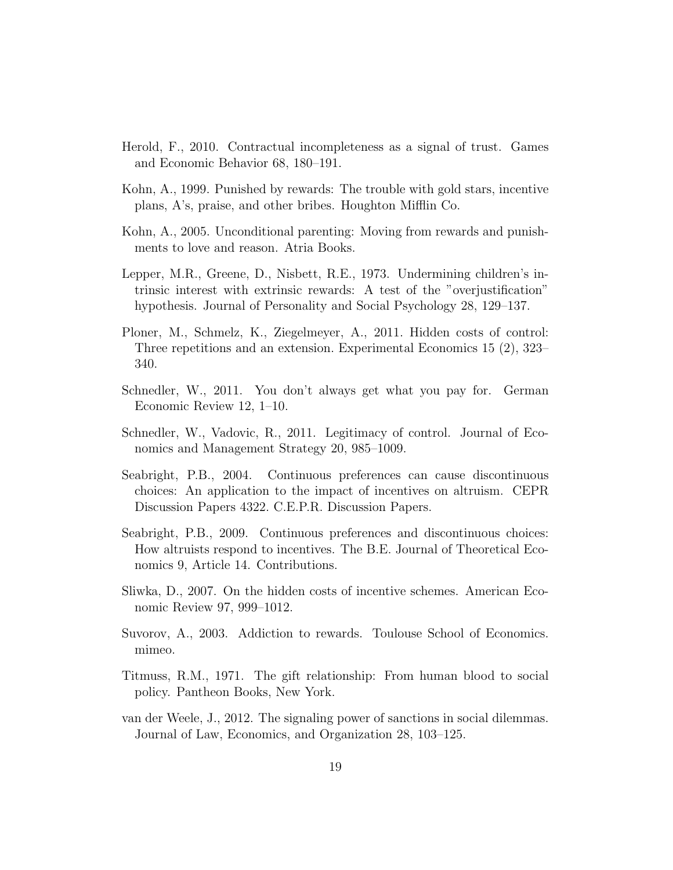- Herold, F., 2010. Contractual incompleteness as a signal of trust. Games and Economic Behavior 68, 180–191.
- Kohn, A., 1999. Punished by rewards: The trouble with gold stars, incentive plans, A's, praise, and other bribes. Houghton Mifflin Co.
- Kohn, A., 2005. Unconditional parenting: Moving from rewards and punishments to love and reason. Atria Books.
- Lepper, M.R., Greene, D., Nisbett, R.E., 1973. Undermining children's intrinsic interest with extrinsic rewards: A test of the "overjustification" hypothesis. Journal of Personality and Social Psychology 28, 129–137.
- Ploner, M., Schmelz, K., Ziegelmeyer, A., 2011. Hidden costs of control: Three repetitions and an extension. Experimental Economics 15 (2), 323– 340.
- Schnedler, W., 2011. You don't always get what you pay for. German Economic Review 12, 1–10.
- Schnedler, W., Vadovic, R., 2011. Legitimacy of control. Journal of Economics and Management Strategy 20, 985–1009.
- Seabright, P.B., 2004. Continuous preferences can cause discontinuous choices: An application to the impact of incentives on altruism. CEPR Discussion Papers 4322. C.E.P.R. Discussion Papers.
- Seabright, P.B., 2009. Continuous preferences and discontinuous choices: How altruists respond to incentives. The B.E. Journal of Theoretical Economics 9, Article 14. Contributions.
- Sliwka, D., 2007. On the hidden costs of incentive schemes. American Economic Review 97, 999–1012.
- Suvorov, A., 2003. Addiction to rewards. Toulouse School of Economics. mimeo.
- Titmuss, R.M., 1971. The gift relationship: From human blood to social policy. Pantheon Books, New York.
- van der Weele, J., 2012. The signaling power of sanctions in social dilemmas. Journal of Law, Economics, and Organization 28, 103–125.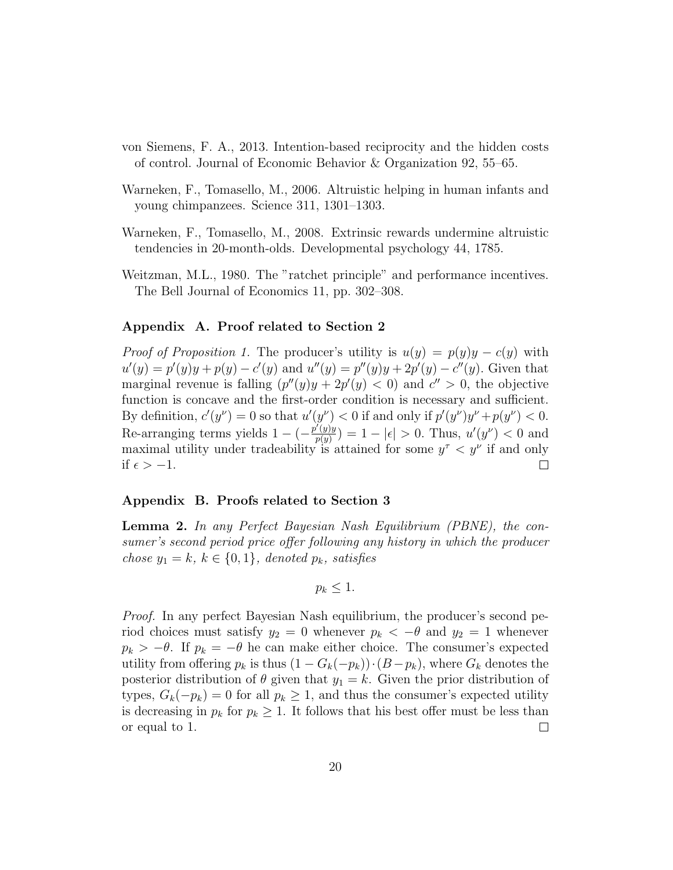- von Siemens, F. A., 2013. Intention-based reciprocity and the hidden costs of control. Journal of Economic Behavior & Organization 92, 55–65.
- Warneken, F., Tomasello, M., 2006. Altruistic helping in human infants and young chimpanzees. Science 311, 1301–1303.
- Warneken, F., Tomasello, M., 2008. Extrinsic rewards undermine altruistic tendencies in 20-month-olds. Developmental psychology 44, 1785.
- Weitzman, M.L., 1980. The "ratchet principle" and performance incentives. The Bell Journal of Economics 11, pp. 302–308.

#### Appendix A. Proof related to Section 2

*Proof of Proposition 1.* The producer's utility is  $u(y) = p(y)y - c(y)$  with  $u'(y) = p'(y)y + p(y) - c'(y)$  and  $u''(y) = p''(y)y + 2p'(y) - c''(y)$ . Given that marginal revenue is falling  $(p''(y)y + 2p'(y) < 0)$  and  $c'' > 0$ , the objective function is concave and the first-order condition is necessary and sufficient. By definition,  $c'(y^{\nu}) = 0$  so that  $u'(y^{\nu}) < 0$  if and only if  $p'(y^{\nu})y^{\nu} + p(y^{\nu}) < 0$ . Re-arranging terms yields  $1 - \left(-\frac{p'(y)y}{p(y)}\right)$  $\frac{f'(y)y}{p(y)} = 1 - |\epsilon| > 0.$  Thus,  $u'(y'') < 0$  and maximal utility under tradeability is attained for some  $y^{\tau} < y^{\nu}$  if and only if  $\epsilon$  > −1.  $\Box$ 

#### Appendix B. Proofs related to Section 3

Lemma 2. In any Perfect Bayesian Nash Equilibrium (PBNE), the consumer's second period price offer following any history in which the producer chose  $y_1 = k, k \in \{0, 1\}$ , denoted  $p_k$ , satisfies

$$
p_k \leq 1.
$$

Proof. In any perfect Bayesian Nash equilibrium, the producer's second period choices must satisfy  $y_2 = 0$  whenever  $p_k < -\theta$  and  $y_2 = 1$  whenever  $p_k > -\theta$ . If  $p_k = -\theta$  he can make either choice. The consumer's expected utility from offering  $p_k$  is thus  $(1 - G_k(-p_k)) \cdot (B - p_k)$ , where  $G_k$  denotes the posterior distribution of  $\theta$  given that  $y_1 = k$ . Given the prior distribution of types,  $G_k(-p_k) = 0$  for all  $p_k \geq 1$ , and thus the consumer's expected utility is decreasing in  $p_k$  for  $p_k \geq 1$ . It follows that his best offer must be less than or equal to 1.  $\Box$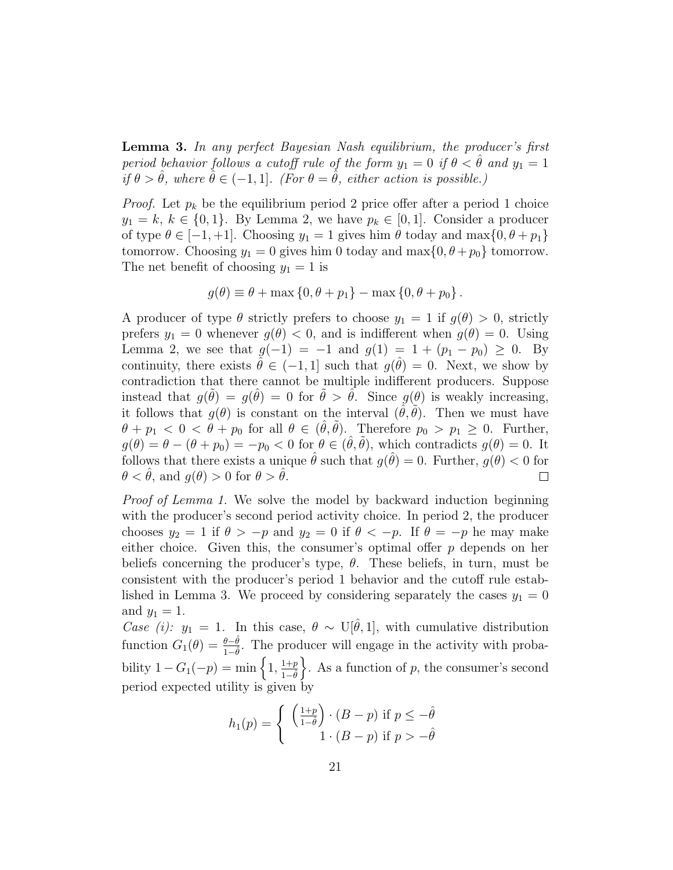Lemma 3. In any perfect Bayesian Nash equilibrium, the producer's first period behavior follows a cutoff rule of the form  $y_1 = 0$  if  $\theta < \theta$  and  $y_1 = 1$ if  $\theta > \theta$ , where  $\theta \in (-1,1]$ . (For  $\theta = \theta$ , either action is possible.)

*Proof.* Let  $p_k$  be the equilibrium period 2 price offer after a period 1 choice  $y_1 = k, k \in \{0, 1\}$ . By Lemma 2, we have  $p_k \in [0, 1]$ . Consider a producer of type  $\theta \in [-1, +1]$ . Choosing  $y_1 = 1$  gives him  $\theta$  today and max $\{0, \theta + p_1\}$ tomorrow. Choosing  $y_1 = 0$  gives him 0 today and max $\{0, \theta + p_0\}$  tomorrow. The net benefit of choosing  $y_1 = 1$  is

$$
g(\theta) \equiv \theta + \max\{0, \theta + p_1\} - \max\{0, \theta + p_0\}.
$$

A producer of type  $\theta$  strictly prefers to choose  $y_1 = 1$  if  $g(\theta) > 0$ , strictly prefers  $y_1 = 0$  whenever  $g(\theta) < 0$ , and is indifferent when  $g(\theta) = 0$ . Using Lemma 2, we see that  $g(-1) = -1$  and  $g(1) = 1 + (p_1 - p_0) \ge 0$ . By continuity, there exists  $\hat{\hat{\theta}} \in (-1, 1]$  such that  $g(\hat{\theta}) = 0$ . Next, we show by contradiction that there cannot be multiple indifferent producers. Suppose instead that  $g(\tilde{\theta}) = g(\hat{\theta}) = 0$  for  $\tilde{\theta} > \tilde{\theta}$ . Since  $g(\theta)$  is weakly increasing, it follows that  $q(\theta)$  is constant on the interval  $(\hat{\theta}, \theta)$ . Then we must have  $\theta + p_1 < 0 < \tilde{\theta} + p_0$  for all  $\theta \in (\hat{\theta}, \tilde{\theta})$ . Therefore  $p_0 > p_1 \geq 0$ . Further,  $g(\theta) = \theta - (\theta + p_0) = -p_0 < 0$  for  $\theta \in (\hat{\theta}, \tilde{\theta})$ , which contradicts  $g(\theta) = 0$ . It follows that there exists a unique  $\hat{\theta}$  such that  $g(\hat{\theta}) = 0$ . Further,  $g(\hat{\theta}) < 0$  for  $\theta < \theta$ , and  $q(\theta) > 0$  for  $\theta > \theta$ .  $\Box$ 

Proof of Lemma 1. We solve the model by backward induction beginning with the producer's second period activity choice. In period 2, the producer chooses  $y_2 = 1$  if  $\theta > -p$  and  $y_2 = 0$  if  $\theta < -p$ . If  $\theta = -p$  he may make either choice. Given this, the consumer's optimal offer  $p$  depends on her beliefs concerning the producer's type,  $\theta$ . These beliefs, in turn, must be consistent with the producer's period 1 behavior and the cutoff rule established in Lemma 3. We proceed by considering separately the cases  $y_1 = 0$ and  $y_1 = 1$ .

Case (i):  $y_1 = 1$ . In this case,  $\theta \sim U[\hat{\theta}, 1]$ , with cumulative distribution function  $G_1(\theta) = \frac{\theta - \hat{\theta}}{1 - \hat{\theta}}$ . The producer will engage in the activity with probability  $1 - G_1(-p) = \min \left\{ 1, \frac{1+p}{1-\hat{\theta}} \right\}$  $\overline{1-\hat{\theta}}$  $\}$ . As a function of p, the consumer's second period expected utility is given by

$$
h_1(p) = \begin{cases} \left(\frac{1+p}{1-\hat{\theta}}\right) \cdot (B-p) & \text{if } p \le -\hat{\theta} \\ 1 \cdot (B-p) & \text{if } p > -\hat{\theta} \end{cases}
$$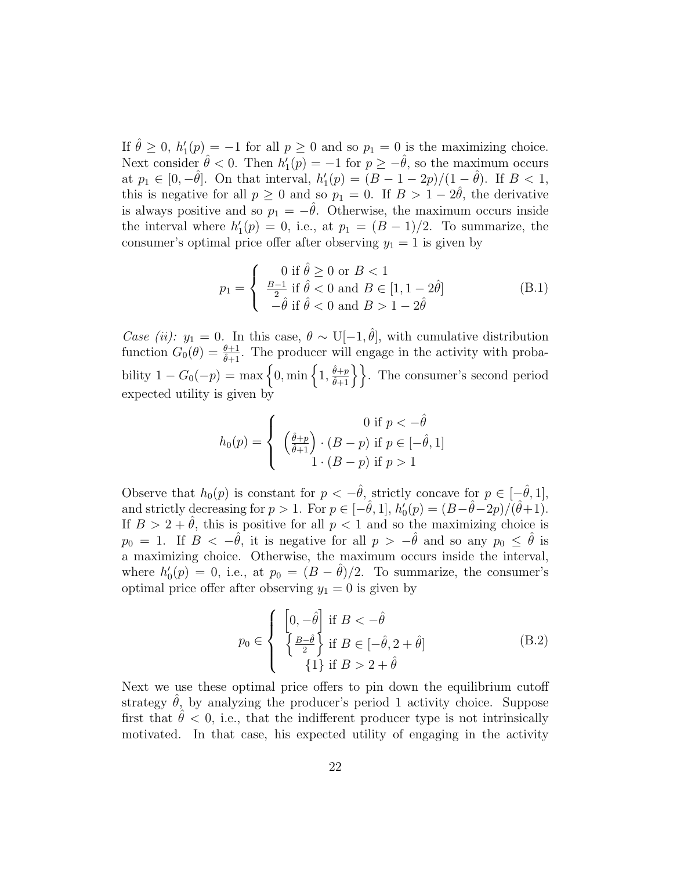If  $\hat{\theta} \geq 0$ ,  $h'_1(p) = -1$  for all  $p \geq 0$  and so  $p_1 = 0$  is the maximizing choice. Next consider  $\hat{\theta} < 0$ . Then  $h'_1(p) = -1$  for  $p \ge -\hat{\theta}$ , so the maximum occurs at  $p_1 \in [0, -\hat{\theta}]$ . On that interval,  $h'_1(p) = (B - 1 - 2p)/(1 - \hat{\theta})$ . If  $B < 1$ , this is negative for all  $p \geq 0$  and so  $p_1 = 0$ . If  $B > 1 - 2\theta$ , the derivative is always positive and so  $p_1 = -\hat{\theta}$ . Otherwise, the maximum occurs inside the interval where  $h'_1(p) = 0$ , i.e., at  $p_1 = (B-1)/2$ . To summarize, the consumer's optimal price offer after observing  $y_1 = 1$  is given by

$$
p_1 = \begin{cases} 0 \text{ if } \hat{\theta} \ge 0 \text{ or } B < 1 \\ \frac{B-1}{2} \text{ if } \hat{\theta} < 0 \text{ and } B \in [1, 1 - 2\hat{\theta}] \\ -\hat{\theta} \text{ if } \hat{\theta} < 0 \text{ and } B > 1 - 2\hat{\theta} \end{cases}
$$
 (B.1)

Case (ii):  $y_1 = 0$ . In this case,  $\theta \sim U[-1, \hat{\theta}]$ , with cumulative distribution function  $G_0(\theta) = \frac{\theta+1}{\hat{\theta}+1}$ . The producer will engage in the activity with probability  $1 - G_0(-p) = \max\left\{0, \min\left\{1, \frac{\hat{\theta}+p}{\hat{\theta}+1}\right\}\right\}$ . The consumer's second period expected utility is given by

$$
h_0(p) = \begin{cases} 0 \text{ if } p < -\hat{\theta} \\ \left(\frac{\hat{\theta}+p}{\hat{\theta}+1}\right) \cdot (B-p) \text{ if } p \in [-\hat{\theta}, 1] \\ 1 \cdot (B-p) \text{ if } p > 1 \end{cases}
$$

Observe that  $h_0(p)$  is constant for  $p < -\hat{\theta}$ , strictly concave for  $p \in [-\hat{\theta}, 1]$ , and strictly decreasing for  $p > 1$ . For  $p \in [-\hat{\theta}, 1]$ ,  $h'_0(p) = (B - \hat{\theta} - 2p)/(\hat{\theta} + 1)$ . If  $B > 2 + \theta$ , this is positive for all  $p < 1$  and so the maximizing choice is  $p_0 = 1$ . If  $B < -\hat{\theta}$ , it is negative for all  $p > -\hat{\theta}$  and so any  $p_0 \leq \hat{\theta}$  is a maximizing choice. Otherwise, the maximum occurs inside the interval, where  $h'_0(p) = 0$ , i.e., at  $p_0 = (B - \hat{\theta})/2$ . To summarize, the consumer's optimal price offer after observing  $y_1 = 0$  is given by

$$
p_0 \in \left\{ \begin{array}{l} \left[0, -\hat{\theta}\right] \text{ if } B < -\hat{\theta} \\ \left\{\frac{B-\hat{\theta}}{2}\right\} \text{ if } B \in \left[-\hat{\theta}, 2+\hat{\theta}\right] \\ \left\{1\right\} \text{ if } B > 2+\hat{\theta} \end{array} \right. \tag{B.2}
$$

Next we use these optimal price offers to pin down the equilibrium cutoff strategy  $\hat{\theta}$ , by analyzing the producer's period 1 activity choice. Suppose first that  $\ddot{\theta} < 0$ , i.e., that the indifferent producer type is not intrinsically motivated. In that case, his expected utility of engaging in the activity